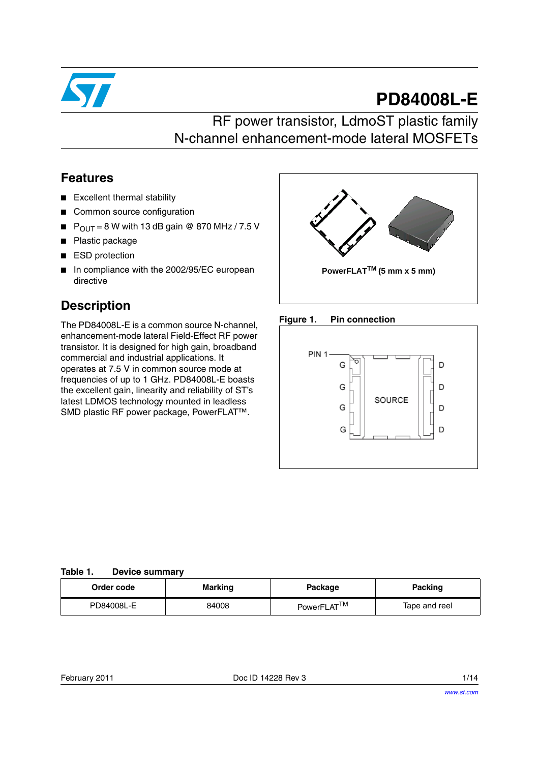

# **PD84008L-E**

## RF power transistor, LdmoST plastic family N-channel enhancement-mode lateral MOSFETs

### **Features**

- Excellent thermal stability
- Common source configuration
- $\blacksquare$  P<sub>OUT</sub> = 8 W with 13 dB gain @ 870 MHz / 7.5 V
- Plastic package
- ESD protection
- In compliance with the 2002/95/EC european directive

### **Description**

The PD84008L-E is a common source N-channel, enhancement-mode lateral Field-Effect RF power transistor. It is designed for high gain, broadband commercial and industrial applications. It operates at 7.5 V in common source mode at frequencies of up to 1 GHz. PD84008L-E boasts the excellent gain, linearity and reliability of ST's latest LDMOS technology mounted in leadless SMD plastic RF power package, PowerFLAT™.







**Table 1. Device summary** 

| Order code | <b>Marking</b> | Package                 | Packing       |
|------------|----------------|-------------------------|---------------|
| PD84008L-E | 84008          | PowerFLAT <sup>TM</sup> | Tape and reel |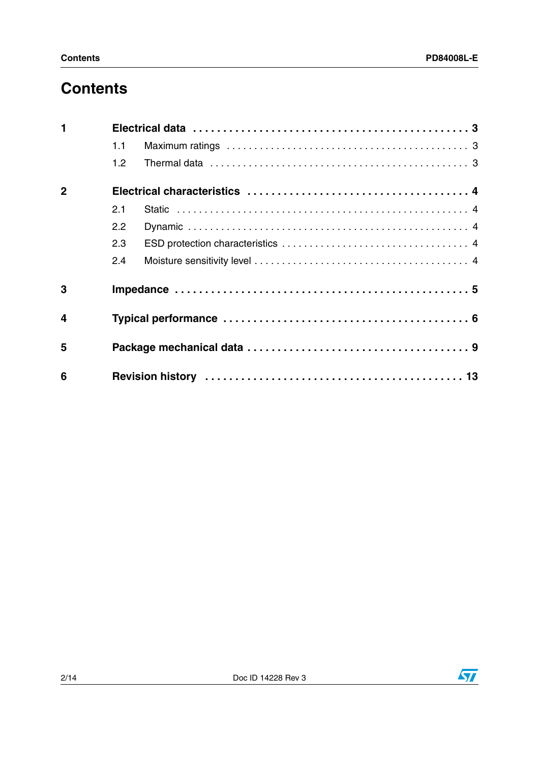## **Contents**

| $\blacksquare$          |     |  |  |  |  |
|-------------------------|-----|--|--|--|--|
|                         | 1.1 |  |  |  |  |
|                         | 1.2 |  |  |  |  |
| $\overline{2}$          |     |  |  |  |  |
|                         | 2.1 |  |  |  |  |
|                         | 2.2 |  |  |  |  |
|                         | 2.3 |  |  |  |  |
|                         | 2.4 |  |  |  |  |
| 3                       |     |  |  |  |  |
| $\overline{\mathbf{4}}$ |     |  |  |  |  |
| 5                       |     |  |  |  |  |
| 6                       |     |  |  |  |  |

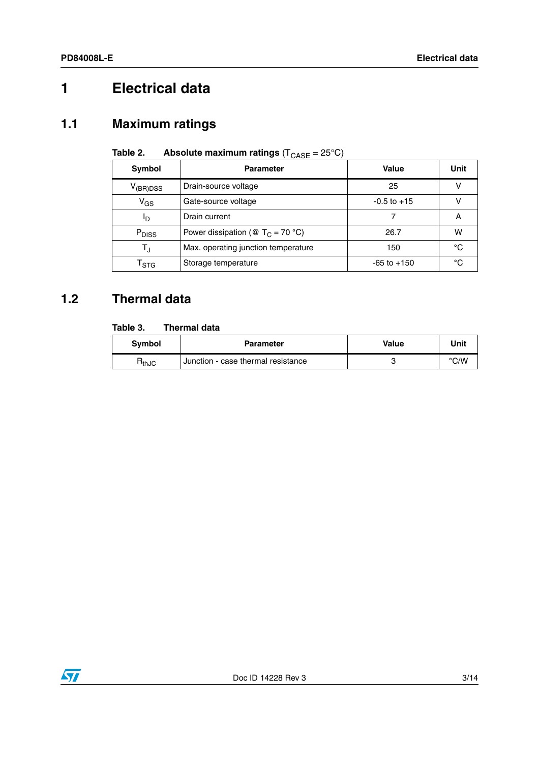# <span id="page-2-0"></span>**1 Electrical data**

### <span id="page-2-1"></span>**1.1 Maximum ratings**

| Symbol                      | <b>Parameter</b>                     | Value           | Unit |
|-----------------------------|--------------------------------------|-----------------|------|
| $V_{(BR)DSS}$               | Drain-source voltage                 | 25              |      |
| $V_{GS}$                    | Gate-source voltage                  | $-0.5$ to $+15$ |      |
| םי                          | Drain current                        |                 | Α    |
| P <sub>DISS</sub>           | Power dissipation (@ $T_C = 70 °C$ ) | 26.7            | W    |
| T,                          | Max. operating junction temperature  | 150             | °C   |
| $\mathsf{T}_{\textsf{STG}}$ | Storage temperature                  | $-65$ to $+150$ | °C   |

### **Table 2.** Absolute maximum ratings  $(T_{\text{CASE}} = 25^{\circ}\text{C})$

### <span id="page-2-2"></span>**1.2 Thermal data**

### **Table 3. Thermal data**

| <b>Symbol</b>     | <b>Parameter</b>                   | Value | Unit |
|-------------------|------------------------------------|-------|------|
| ¬ <sub>thJC</sub> | Junction - case thermal resistance |       | °C/W |

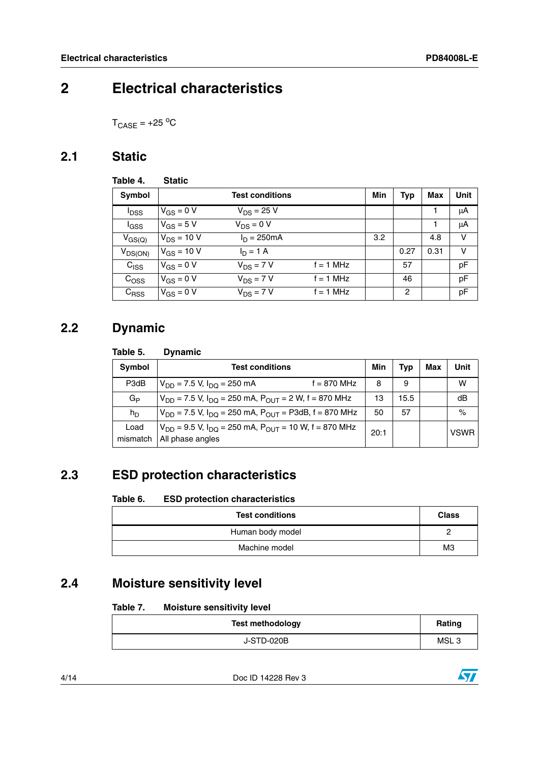## <span id="page-3-0"></span>**2 Electrical characteristics**

 $T_{\text{CASE}} = +25 \text{ °C}$ 

### <span id="page-3-1"></span>**2.1 Static**

<span id="page-3-5"></span>

| Table 4.         | <b>Static</b>   |                        |             |     |            |      |      |
|------------------|-----------------|------------------------|-------------|-----|------------|------|------|
| Symbol           |                 | <b>Test conditions</b> |             | Min | <b>Typ</b> | Max  | Unit |
| <sup>I</sup> DSS | $V_{GS} = 0 V$  | $V_{DS} = 25 V$        |             |     |            |      | μA   |
| l <sub>GSS</sub> | $V_{GS}$ = 5 V  | $V_{DS} = 0 V$         |             |     |            |      | μA   |
| $V_{GS(Q)}$      | $V_{DS}$ = 10 V | $I_D = 250mA$          |             | 3.2 |            | 4.8  | v    |
| $V_{DS(ON)}$     | $V_{GS}$ = 10 V | $I_D = 1 A$            |             |     | 0.27       | 0.31 | ν    |
| $C_{\text{ISS}}$ | $V_{GS} = 0 V$  | $V_{DS}$ = 7 V         | $f = 1$ MHz |     | 57         |      | pF   |
| $C_{\text{OSS}}$ | $V_{GS} = 0 V$  | $V_{DS}$ = 7 V         | $f = 1$ MHz |     | 46         |      | pF   |
| $C_{RSS}$        | $V_{GS} = 0 V$  | $V_{DS}$ = 7 V         | $f = 1$ MHz |     | 2          |      | pF   |

### <span id="page-3-2"></span>**2.2 Dynamic**

#### Table 5. **Dynamic**

| <b>Symbol</b>    | <b>Test conditions</b>                                                                 |      | Tvp  | Max | Unit        |
|------------------|----------------------------------------------------------------------------------------|------|------|-----|-------------|
| P3dB             | $f = 870$ MHz<br>$V_{DD}$ = 7.5 V, $I_{DD}$ = 250 mA                                   | 8    | 9    |     | w           |
| G <sub>P</sub>   | $V_{DD}$ = 7.5 V, $I_{DO}$ = 250 mA, $P_{OUT}$ = 2 W, f = 870 MHz                      | 13   | 15.5 |     | dB          |
| $h_D$            | $V_{DD}$ = 7.5 V, $I_{DD}$ = 250 mA, $P_{OUT}$ = P3dB, f = 870 MHz                     | 50   | 57   |     | $\%$        |
| Load<br>mismatch | $V_{DD}$ = 9.5 V, $I_{DO}$ = 250 mA, $P_{OUT}$ = 10 W, f = 870 MHz<br>All phase angles | 20:1 |      |     | <b>VSWR</b> |

### <span id="page-3-3"></span>**2.3 ESD protection characteristics**

#### Table 6. **ESD protection characteristics**

| <b>Test conditions</b> | <b>Class</b> |
|------------------------|--------------|
| Human body model       |              |
| Machine model          | MЗ           |

### <span id="page-3-4"></span>**2.4 Moisture sensitivity level**

#### Table 7. **Moisture sensitivity level**

| <b>Test methodology</b> | Rating           |
|-------------------------|------------------|
| J-STD-020B              | MSL <sub>3</sub> |

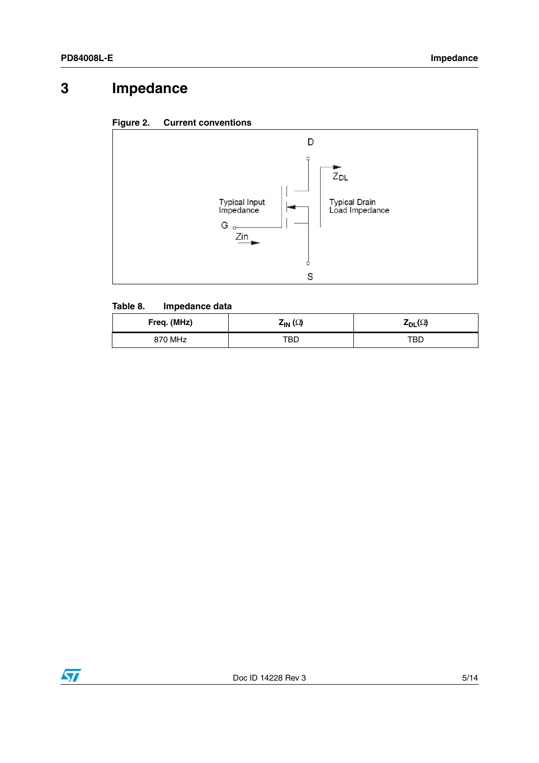# <span id="page-4-0"></span>**3 Impedance**





### **Table 8. Impedance data**

| Freq. (MHz) | $Z_{\textsf{IN}}(\Omega)$ | $\mathsf{Z}_{\mathsf{DL}}(\Omega)$ |
|-------------|---------------------------|------------------------------------|
| 870 MHz     | TBD                       | TBD                                |

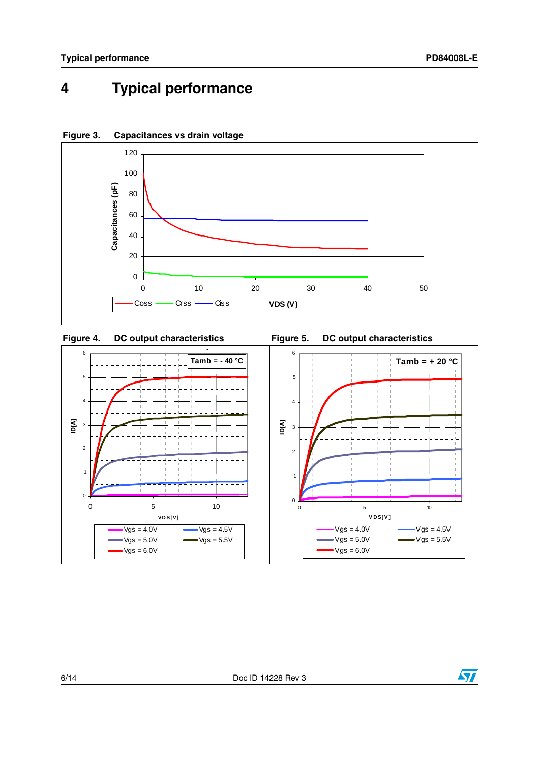## <span id="page-5-0"></span>**4 Typical performance**



### **Figure 3. Capacitances vs drain voltage**



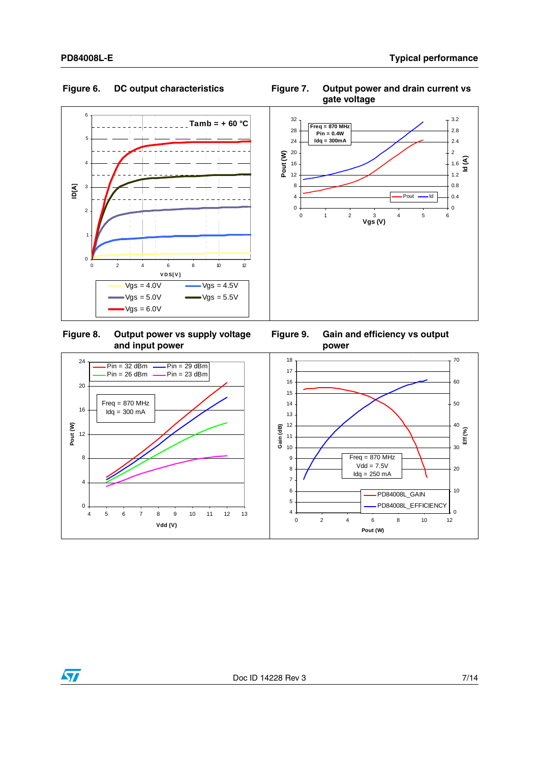0

 $\sqrt{2}$ 

4







0 2 4 6 8 10 12 **Pout (W)**

PD84008L\_GAIN PD84008L\_EFFICIENCY



**and input power Figure 9. Gain and efficiency vs output power**8 12 16 20 24 **Pout (W)**  $Pin = 32$  dBm  $\frac{1}{2}$  Pin = 29 dBm<br>Pin = 26 dBm  $\frac{1}{2}$  Pin = 23 dBm  $Pin = 26$  dBm  $Freq = 870 MHz$  $Idq = 300$  mA **y** production of the product of the product of the product of the product of the product of the product of the product of the product of the product of the product of the product of the product of the product of the produ 7 8 9 10 11 12 13 14 15 16 17 18 **Gain (dB)** 20 30 40 50 60  $70$  $Freq = 870 MHz$  $Vdd = 7.5V$  $Idq = 250$  mA

4 5 6



4 5 6 7 8 9 10 11 12 13 **Vdd (V)**



 $\overline{\mathbf{0}}$ 

10

**Eff (%)**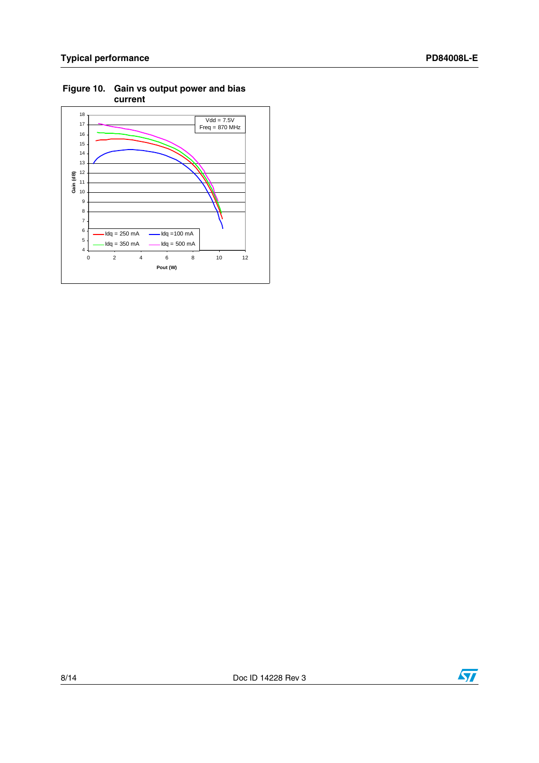

**Figure 10. Gain vs output power and bias current**

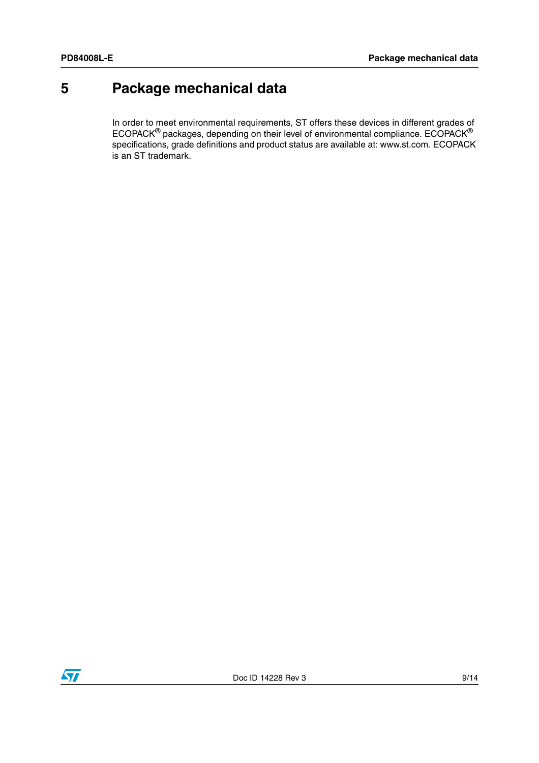## <span id="page-8-0"></span>**5 Package mechanical data**

In order to meet environmental requirements, ST offers these devices in different grades of ECOPACK® packages, depending on their level of environmental compliance. ECOPACK® specifications, grade definitions and product status are available at: www.st.com. ECOPACK is an ST trademark.

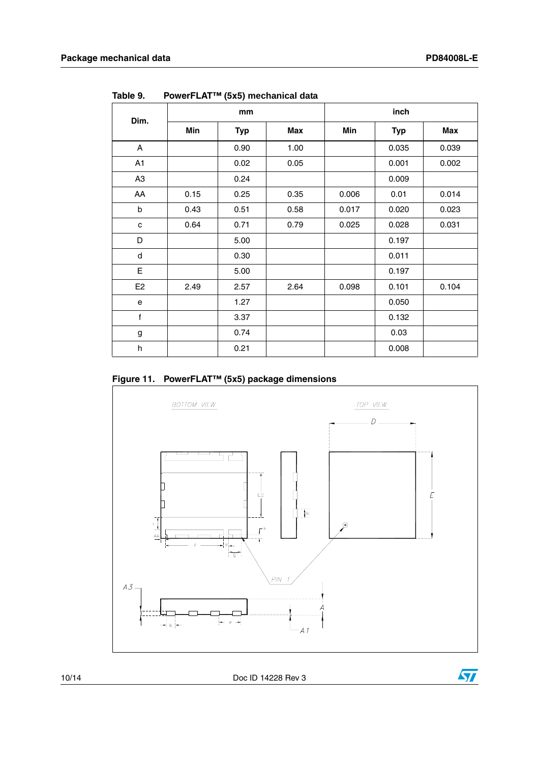$\sqrt{27}$ 

| Dim.           |      | mm         |            |       | inch       |       |
|----------------|------|------------|------------|-------|------------|-------|
|                | Min  | <b>Typ</b> | <b>Max</b> | Min   | <b>Typ</b> | Max   |
| A              |      | 0.90       | 1.00       |       | 0.035      | 0.039 |
| A1             |      | 0.02       | 0.05       |       | 0.001      | 0.002 |
| A <sub>3</sub> |      | 0.24       |            |       | 0.009      |       |
| AA             | 0.15 | 0.25       | 0.35       | 0.006 | 0.01       | 0.014 |
| b              | 0.43 | 0.51       | 0.58       | 0.017 | 0.020      | 0.023 |
| c              | 0.64 | 0.71       | 0.79       | 0.025 | 0.028      | 0.031 |
| D              |      | 5.00       |            |       | 0.197      |       |
| d              |      | 0.30       |            |       | 0.011      |       |
| E              |      | 5.00       |            |       | 0.197      |       |
| E <sub>2</sub> | 2.49 | 2.57       | 2.64       | 0.098 | 0.101      | 0.104 |
| e              |      | 1.27       |            |       | 0.050      |       |
| f              |      | 3.37       |            |       | 0.132      |       |
| g              |      | 0.74       |            |       | 0.03       |       |
| h              |      | 0.21       |            |       | 0.008      |       |

**Table 9. PowerFLAT™ (5x5) mechanical data**

**Figure 11. PowerFLAT™ (5x5) package dimensions**



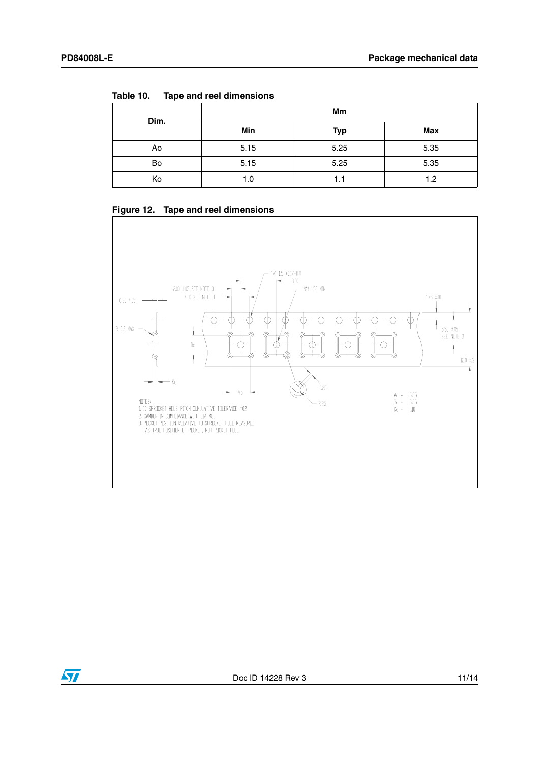| Table 10. | Tape and reel dimensions |  |
|-----------|--------------------------|--|
|           |                          |  |

| Dim. | Mm   |            |      |  |  |
|------|------|------------|------|--|--|
|      | Min  | <b>Typ</b> | Max  |  |  |
| Ao   | 5.15 | 5.25       | 5.35 |  |  |
| Bo   | 5.15 | 5.25       | 5.35 |  |  |
| Ko   | 1.0  | 1.1        | 1.2  |  |  |





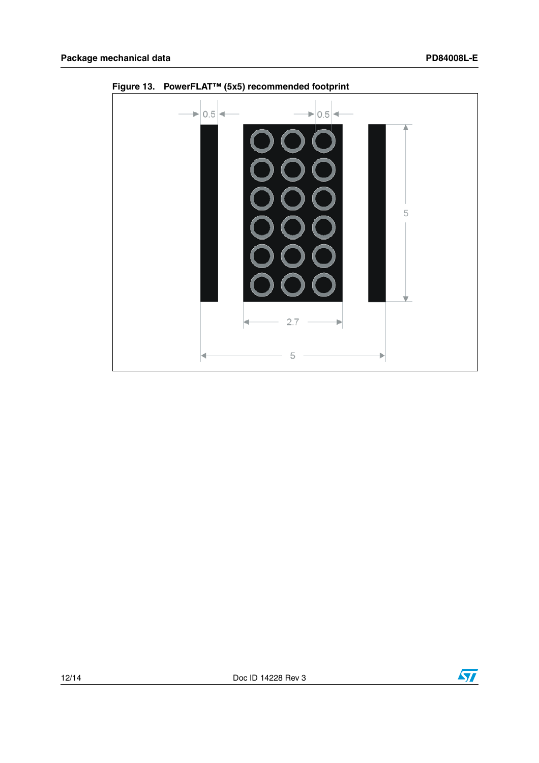

**Figure 13. PowerFLAT™ (5x5) recommended footprint**

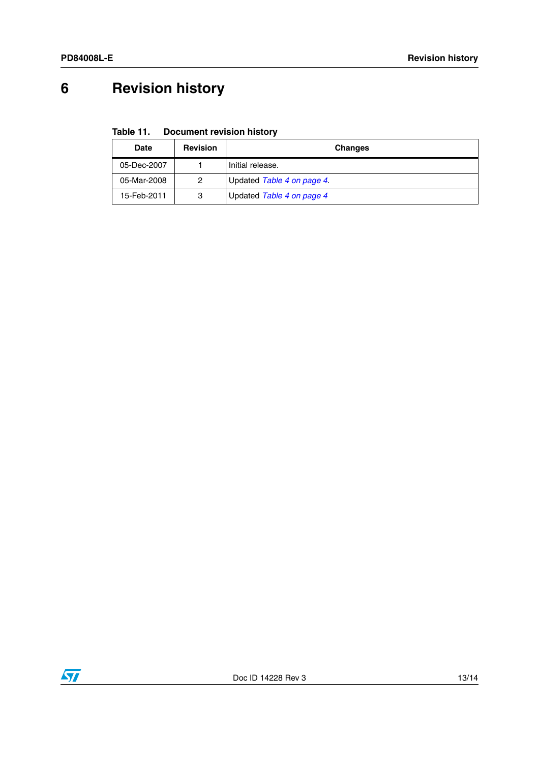# <span id="page-12-0"></span>**6 Revision history**

**Table 11. Document revision history**

| <b>Date</b> | <b>Revision</b> | <b>Changes</b>             |
|-------------|-----------------|----------------------------|
| 05-Dec-2007 |                 | Initial release.           |
| 05-Mar-2008 |                 | Updated Table 4 on page 4. |
| 15-Feb-2011 | 3               | Updated Table 4 on page 4  |